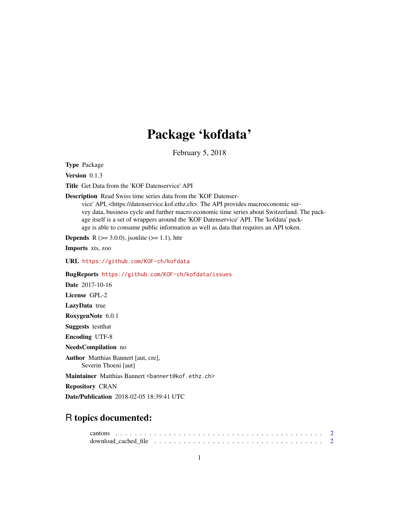## Package 'kofdata'

February 5, 2018

Type Package

Version 0.1.3

Title Get Data from the 'KOF Datenservice' API

Description Read Swiss time series data from the 'KOF Datenser-

vice' API, <https://datenservice.kof.ethz.ch>. The API provides macroeconomic survey data, business cycle and further macro economic time series about Switzerland. The package itself is a set of wrappers around the 'KOF Datenservice' API. The 'kofdata' package is able to consume public information as well as data that requires an API token.

**Depends** R ( $>= 3.0.0$ ), jsonlite ( $>= 1.1$ ), httr

Imports xts, zoo

URL <https://github.com/KOF-ch/kofdata>

BugReports <https://github.com/KOF-ch/kofdata/issues>

Date 2017-10-16

License GPL-2

LazyData true

RoxygenNote 6.0.1

Suggests testthat

Encoding UTF-8

NeedsCompilation no

Author Matthias Bannert [aut, cre], Severin Thoeni [aut]

Maintainer Matthias Bannert <br/>bannert@kof.ethz.ch>

Repository CRAN

Date/Publication 2018-02-05 18:39:41 UTC

### R topics documented: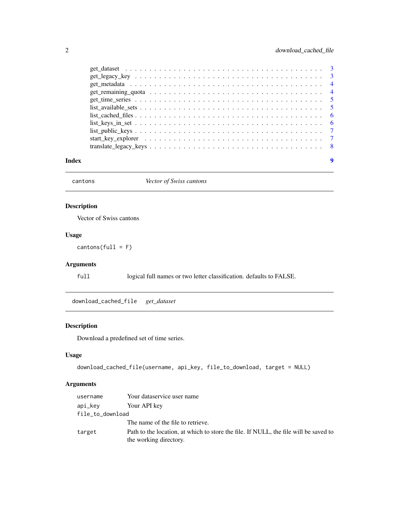<span id="page-1-0"></span>

|       | $list\_public\_keys \dots \dots \dots \dots \dots \dots \dots \dots \dots \dots \dots \dots \dots \dots \dots \dots \dots \dots$ |  |  |  |  |  |  |  |  |  |  |  |  |  |  |  |   |
|-------|----------------------------------------------------------------------------------------------------------------------------------|--|--|--|--|--|--|--|--|--|--|--|--|--|--|--|---|
|       |                                                                                                                                  |  |  |  |  |  |  |  |  |  |  |  |  |  |  |  |   |
|       |                                                                                                                                  |  |  |  |  |  |  |  |  |  |  |  |  |  |  |  |   |
| Index |                                                                                                                                  |  |  |  |  |  |  |  |  |  |  |  |  |  |  |  | 9 |

cantons *Vector of Swiss cantons*

#### Description

Vector of Swiss cantons

#### Usage

 $cantons(full = F)$ 

#### Arguments

full logical full names or two letter classification. defaults to FALSE.

download\_cached\_file *get\_dataset*

#### Description

Download a predefined set of time series.

#### Usage

```
download_cached_file(username, api_key, file_to_download, target = NULL)
```
#### Arguments

| username         | Your dataservice user name                                                                                     |
|------------------|----------------------------------------------------------------------------------------------------------------|
| api_kev          | Your API key                                                                                                   |
| file_to_download |                                                                                                                |
|                  | The name of the file to retrieve.                                                                              |
| target           | Path to the location, at which to store the file. If NULL, the file will be saved to<br>the working directory. |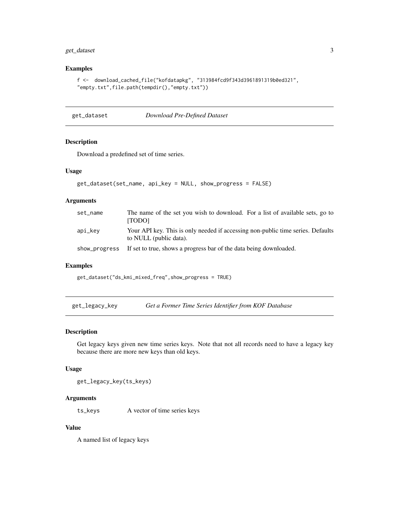#### <span id="page-2-0"></span>get\_dataset 3

#### Examples

```
f <- download_cached_file("kofdatapkg", "313984fcd9f343d3961891319b0ed321",
"empty.txt",file.path(tempdir(),"empty.txt"))
```
get\_dataset *Download Pre-Defined Dataset*

#### Description

Download a predefined set of time series.

#### Usage

```
get_dataset(set_name, api_key = NULL, show_progress = FALSE)
```
#### Arguments

| set_name      | The name of the set you wish to download. For a list of available sets, go to<br><b>TODO1</b>             |
|---------------|-----------------------------------------------------------------------------------------------------------|
| api_kev       | Your API key. This is only needed if accessing non-public time series. Defaults<br>to NULL (public data). |
| show_progress | If set to true, shows a progress bar of the data being downloaded.                                        |

#### Examples

get\_dataset("ds\_kmi\_mixed\_freq",show\_progress = TRUE)

get\_legacy\_key *Get a Former Time Series Identifier from KOF Database*

#### Description

Get legacy keys given new time series keys. Note that not all records need to have a legacy key because there are more new keys than old keys.

#### Usage

get\_legacy\_key(ts\_keys)

#### Arguments

ts\_keys A vector of time series keys

#### Value

A named list of legacy keys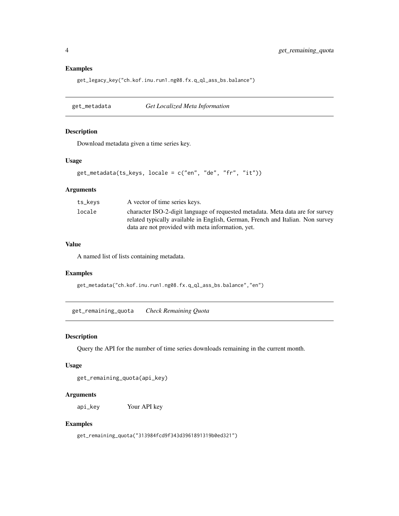#### Examples

get\_legacy\_key("ch.kof.inu.run1.ng08.fx.q\_ql\_ass\_bs.balance")

get\_metadata *Get Localized Meta Information*

#### Description

Download metadata given a time series key.

#### Usage

```
get_metadata(ts_keys, locale = c("en", "de", "fr", "it"))
```
#### Arguments

| ts_keys | A vector of time series keys.                                                                                                                                    |
|---------|------------------------------------------------------------------------------------------------------------------------------------------------------------------|
| locale  | character ISO-2-digit language of requested metadata. Meta data are for survey<br>related typically available in English, German, French and Italian. Non survey |
|         | data are not provided with meta information, yet.                                                                                                                |

#### Value

A named list of lists containing metadata.

#### Examples

get\_metadata("ch.kof.inu.run1.ng08.fx.q\_ql\_ass\_bs.balance","en")

get\_remaining\_quota *Check Remaining Quota*

#### Description

Query the API for the number of time series downloads remaining in the current month.

#### Usage

get\_remaining\_quota(api\_key)

#### Arguments

api\_key Your API key

#### Examples

get\_remaining\_quota("313984fcd9f343d3961891319b0ed321")

<span id="page-3-0"></span>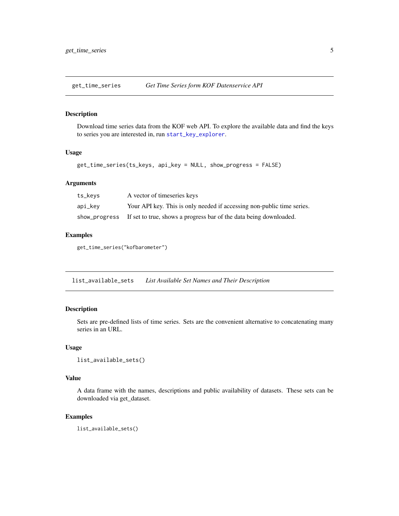<span id="page-4-0"></span>get\_time\_series *Get Time Series form KOF Datenservice API*

#### Description

Download time series data from the KOF web API. To explore the available data and find the keys to series you are interested in, run [start\\_key\\_explorer](#page-6-1).

#### Usage

```
get_time_series(ts_keys, api_key = NULL, show_progress = FALSE)
```
#### Arguments

| ts_keys | A vector of timeseries keys                                                      |
|---------|----------------------------------------------------------------------------------|
| api_key | Your API key. This is only needed if accessing non-public time series.           |
|         | show_progress If set to true, shows a progress bar of the data being downloaded. |

#### Examples

get\_time\_series("kofbarometer")

list\_available\_sets *List Available Set Names and Their Description*

#### Description

Sets are pre-defined lists of time series. Sets are the convenient alternative to concatenating many series in an URL.

#### Usage

```
list_available_sets()
```
#### Value

A data frame with the names, descriptions and public availability of datasets. These sets can be downloaded via get\_dataset.

#### Examples

list\_available\_sets()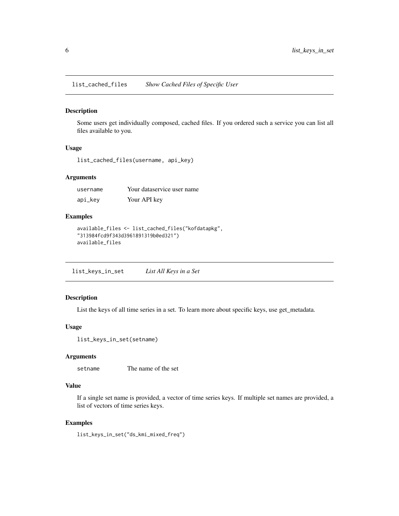<span id="page-5-0"></span>list\_cached\_files *Show Cached Files of Specific User*

#### Description

Some users get individually composed, cached files. If you ordered such a service you can list all files available to you.

#### Usage

list\_cached\_files(username, api\_key)

#### Arguments

| username | Your dataservice user name |
|----------|----------------------------|
| api_key  | Your API key               |

#### Examples

```
available_files <- list_cached_files("kofdatapkg",
"313984fcd9f343d3961891319b0ed321")
available_files
```
list\_keys\_in\_set *List All Keys in a Set*

#### Description

List the keys of all time series in a set. To learn more about specific keys, use get\_metadata.

#### Usage

```
list_keys_in_set(setname)
```
#### Arguments

```
setname The name of the set
```
#### Value

If a single set name is provided, a vector of time series keys. If multiple set names are provided, a list of vectors of time series keys.

#### Examples

list\_keys\_in\_set("ds\_kmi\_mixed\_freq")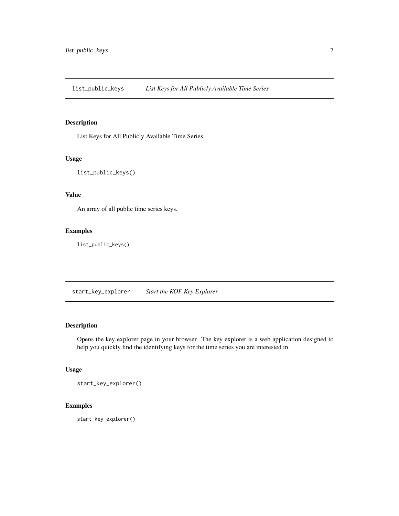<span id="page-6-0"></span>list\_public\_keys *List Keys for All Publicly Available Time Series*

#### Description

List Keys for All Publicly Available Time Series

#### Usage

list\_public\_keys()

#### Value

An array of all public time series keys.

#### Examples

list\_public\_keys()

<span id="page-6-1"></span>start\_key\_explorer *Start the KOF Key Explorer*

#### Description

Opens the key explorer page in your browser. The key explorer is a web application designed to help you quickly find the identifying keys for the time series you are interested in.

#### Usage

start\_key\_explorer()

#### Examples

start\_key\_explorer()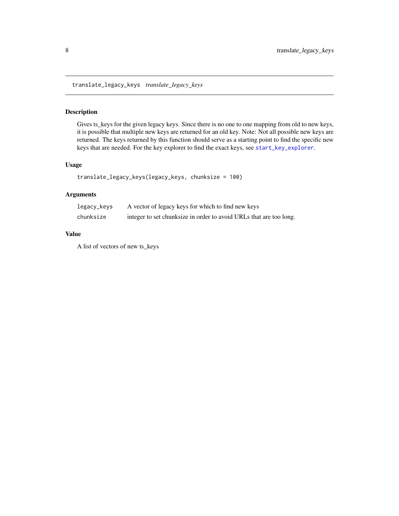<span id="page-7-0"></span>translate\_legacy\_keys *translate\_legacy\_keys*

#### Description

Gives ts\_keys for the given legacy keys. Since there is no one to one mapping from old to new keys, it is possible that multiple new keys are returned for an old key. Note: Not all possible new keys are returned. The keys returned by this function should serve as a starting point to find the specific new keys that are needed. For the key explorer to find the exact keys, see [start\\_key\\_explorer](#page-6-1).

#### Usage

```
translate_legacy_keys(legacy_keys, chunksize = 100)
```
#### Arguments

| legacy_keys | A vector of legacy keys for which to find new keys                 |
|-------------|--------------------------------------------------------------------|
| chunksize   | integer to set chunksize in order to avoid URLs that are too long. |

#### Value

A list of vectors of new ts\_keys